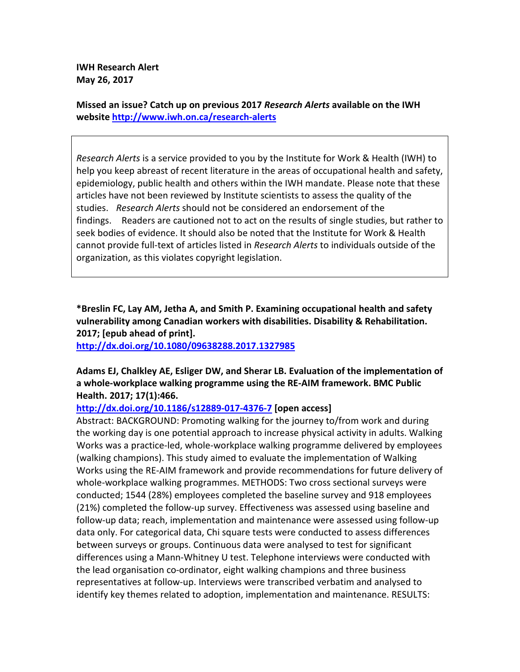**IWH Research Alert May 26, 2017** 

**Missed an issue? Catch up on previous 2017** *Research Alerts* **available on the IWH website http://www.iwh.on.ca/research-alerts**

*Research Alerts* is a service provided to you by the Institute for Work & Health (IWH) to help you keep abreast of recent literature in the areas of occupational health and safety, epidemiology, public health and others within the IWH mandate. Please note that these articles have not been reviewed by Institute scientists to assess the quality of the studies. *Research Alerts* should not be considered an endorsement of the findings. Readers are cautioned not to act on the results of single studies, but rather to seek bodies of evidence. It should also be noted that the Institute for Work & Health cannot provide full-text of articles listed in *Research Alerts* to individuals outside of the organization, as this violates copyright legislation.

**\*Breslin FC, Lay AM, Jetha A, and Smith P. Examining occupational health and safety vulnerability among Canadian workers with disabilities. Disability & Rehabilitation. 2017; [epub ahead of print].** 

**http://dx.doi.org/10.1080/09638288.2017.1327985** 

### **Adams EJ, Chalkley AE, Esliger DW, and Sherar LB. Evaluation of the implementation of a whole-workplace walking programme using the RE-AIM framework. BMC Public Health. 2017; 17(1):466.**

### **http://dx.doi.org/10.1186/s12889-017-4376-7 [open access]**

Abstract: BACKGROUND: Promoting walking for the journey to/from work and during the working day is one potential approach to increase physical activity in adults. Walking Works was a practice-led, whole-workplace walking programme delivered by employees (walking champions). This study aimed to evaluate the implementation of Walking Works using the RE-AIM framework and provide recommendations for future delivery of whole-workplace walking programmes. METHODS: Two cross sectional surveys were conducted; 1544 (28%) employees completed the baseline survey and 918 employees (21%) completed the follow-up survey. Effectiveness was assessed using baseline and follow-up data; reach, implementation and maintenance were assessed using follow-up data only. For categorical data, Chi square tests were conducted to assess differences between surveys or groups. Continuous data were analysed to test for significant differences using a Mann-Whitney U test. Telephone interviews were conducted with the lead organisation co-ordinator, eight walking champions and three business representatives at follow-up. Interviews were transcribed verbatim and analysed to identify key themes related to adoption, implementation and maintenance. RESULTS: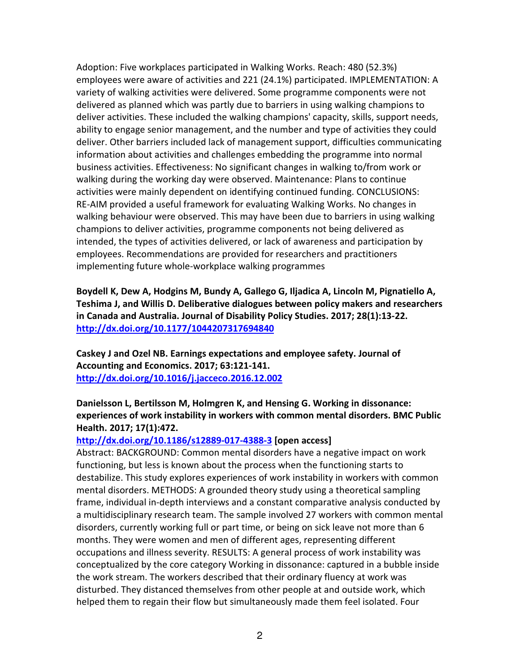Adoption: Five workplaces participated in Walking Works. Reach: 480 (52.3%) employees were aware of activities and 221 (24.1%) participated. IMPLEMENTATION: A variety of walking activities were delivered. Some programme components were not delivered as planned which was partly due to barriers in using walking champions to deliver activities. These included the walking champions' capacity, skills, support needs, ability to engage senior management, and the number and type of activities they could deliver. Other barriers included lack of management support, difficulties communicating information about activities and challenges embedding the programme into normal business activities. Effectiveness: No significant changes in walking to/from work or walking during the working day were observed. Maintenance: Plans to continue activities were mainly dependent on identifying continued funding. CONCLUSIONS: RE-AIM provided a useful framework for evaluating Walking Works. No changes in walking behaviour were observed. This may have been due to barriers in using walking champions to deliver activities, programme components not being delivered as intended, the types of activities delivered, or lack of awareness and participation by employees. Recommendations are provided for researchers and practitioners implementing future whole-workplace walking programmes

**Boydell K, Dew A, Hodgins M, Bundy A, Gallego G, Iljadica A, Lincoln M, Pignatiello A, Teshima J, and Willis D. Deliberative dialogues between policy makers and researchers in Canada and Australia. Journal of Disability Policy Studies. 2017; 28(1):13-22. http://dx.doi.org/10.1177/1044207317694840** 

**Caskey J and Ozel NB. Earnings expectations and employee safety. Journal of Accounting and Economics. 2017; 63:121-141. http://dx.doi.org/10.1016/j.jacceco.2016.12.002** 

# **Danielsson L, Bertilsson M, Holmgren K, and Hensing G. Working in dissonance: experiences of work instability in workers with common mental disorders. BMC Public Health. 2017; 17(1):472.**

### **http://dx.doi.org/10.1186/s12889-017-4388-3 [open access]**

Abstract: BACKGROUND: Common mental disorders have a negative impact on work functioning, but less is known about the process when the functioning starts to destabilize. This study explores experiences of work instability in workers with common mental disorders. METHODS: A grounded theory study using a theoretical sampling frame, individual in-depth interviews and a constant comparative analysis conducted by a multidisciplinary research team. The sample involved 27 workers with common mental disorders, currently working full or part time, or being on sick leave not more than 6 months. They were women and men of different ages, representing different occupations and illness severity. RESULTS: A general process of work instability was conceptualized by the core category Working in dissonance: captured in a bubble inside the work stream. The workers described that their ordinary fluency at work was disturbed. They distanced themselves from other people at and outside work, which helped them to regain their flow but simultaneously made them feel isolated. Four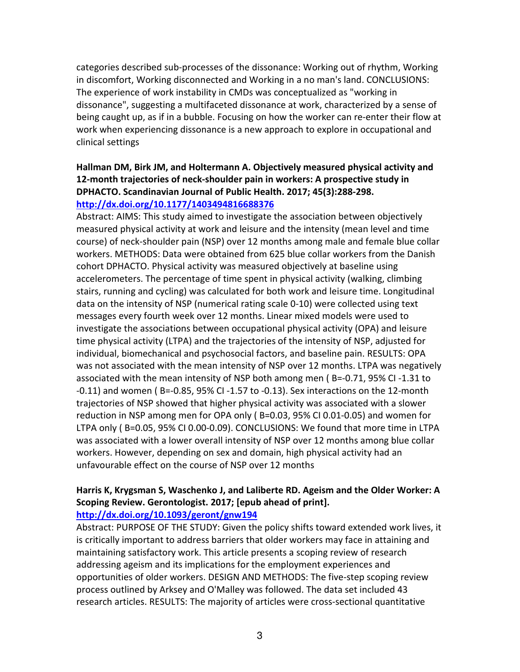categories described sub-processes of the dissonance: Working out of rhythm, Working in discomfort, Working disconnected and Working in a no man's land. CONCLUSIONS: The experience of work instability in CMDs was conceptualized as "working in dissonance", suggesting a multifaceted dissonance at work, characterized by a sense of being caught up, as if in a bubble. Focusing on how the worker can re-enter their flow at work when experiencing dissonance is a new approach to explore in occupational and clinical settings

# **Hallman DM, Birk JM, and Holtermann A. Objectively measured physical activity and 12-month trajectories of neck-shoulder pain in workers: A prospective study in DPHACTO. Scandinavian Journal of Public Health. 2017; 45(3):288-298. http://dx.doi.org/10.1177/1403494816688376**

Abstract: AIMS: This study aimed to investigate the association between objectively measured physical activity at work and leisure and the intensity (mean level and time course) of neck-shoulder pain (NSP) over 12 months among male and female blue collar workers. METHODS: Data were obtained from 625 blue collar workers from the Danish cohort DPHACTO. Physical activity was measured objectively at baseline using accelerometers. The percentage of time spent in physical activity (walking, climbing stairs, running and cycling) was calculated for both work and leisure time. Longitudinal data on the intensity of NSP (numerical rating scale 0-10) were collected using text messages every fourth week over 12 months. Linear mixed models were used to investigate the associations between occupational physical activity (OPA) and leisure time physical activity (LTPA) and the trajectories of the intensity of NSP, adjusted for individual, biomechanical and psychosocial factors, and baseline pain. RESULTS: OPA was not associated with the mean intensity of NSP over 12 months. LTPA was negatively associated with the mean intensity of NSP both among men ( B=-0.71, 95% CI -1.31 to -0.11) and women ( B=-0.85, 95% CI -1.57 to -0.13). Sex interactions on the 12-month trajectories of NSP showed that higher physical activity was associated with a slower reduction in NSP among men for OPA only ( B=0.03, 95% CI 0.01-0.05) and women for LTPA only ( B=0.05, 95% CI 0.00-0.09). CONCLUSIONS: We found that more time in LTPA was associated with a lower overall intensity of NSP over 12 months among blue collar workers. However, depending on sex and domain, high physical activity had an unfavourable effect on the course of NSP over 12 months

## **Harris K, Krygsman S, Waschenko J, and Laliberte RD. Ageism and the Older Worker: A Scoping Review. Gerontologist. 2017; [epub ahead of print]. http://dx.doi.org/10.1093/geront/gnw194**

Abstract: PURPOSE OF THE STUDY: Given the policy shifts toward extended work lives, it is critically important to address barriers that older workers may face in attaining and maintaining satisfactory work. This article presents a scoping review of research addressing ageism and its implications for the employment experiences and opportunities of older workers. DESIGN AND METHODS: The five-step scoping review process outlined by Arksey and O'Malley was followed. The data set included 43 research articles. RESULTS: The majority of articles were cross-sectional quantitative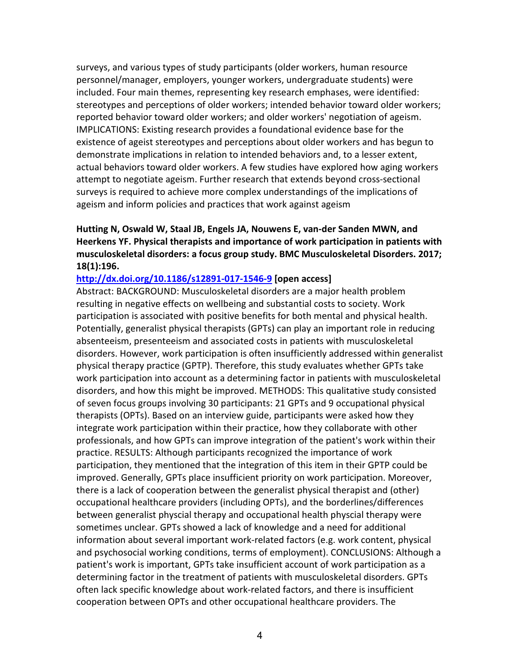surveys, and various types of study participants (older workers, human resource personnel/manager, employers, younger workers, undergraduate students) were included. Four main themes, representing key research emphases, were identified: stereotypes and perceptions of older workers; intended behavior toward older workers; reported behavior toward older workers; and older workers' negotiation of ageism. IMPLICATIONS: Existing research provides a foundational evidence base for the existence of ageist stereotypes and perceptions about older workers and has begun to demonstrate implications in relation to intended behaviors and, to a lesser extent, actual behaviors toward older workers. A few studies have explored how aging workers attempt to negotiate ageism. Further research that extends beyond cross-sectional surveys is required to achieve more complex understandings of the implications of ageism and inform policies and practices that work against ageism

## **Hutting N, Oswald W, Staal JB, Engels JA, Nouwens E, van-der Sanden MWN, and Heerkens YF. Physical therapists and importance of work participation in patients with musculoskeletal disorders: a focus group study. BMC Musculoskeletal Disorders. 2017; 18(1):196.**

#### **http://dx.doi.org/10.1186/s12891-017-1546-9 [open access]**

Abstract: BACKGROUND: Musculoskeletal disorders are a major health problem resulting in negative effects on wellbeing and substantial costs to society. Work participation is associated with positive benefits for both mental and physical health. Potentially, generalist physical therapists (GPTs) can play an important role in reducing absenteeism, presenteeism and associated costs in patients with musculoskeletal disorders. However, work participation is often insufficiently addressed within generalist physical therapy practice (GPTP). Therefore, this study evaluates whether GPTs take work participation into account as a determining factor in patients with musculoskeletal disorders, and how this might be improved. METHODS: This qualitative study consisted of seven focus groups involving 30 participants: 21 GPTs and 9 occupational physical therapists (OPTs). Based on an interview guide, participants were asked how they integrate work participation within their practice, how they collaborate with other professionals, and how GPTs can improve integration of the patient's work within their practice. RESULTS: Although participants recognized the importance of work participation, they mentioned that the integration of this item in their GPTP could be improved. Generally, GPTs place insufficient priority on work participation. Moreover, there is a lack of cooperation between the generalist physical therapist and (other) occupational healthcare providers (including OPTs), and the borderlines/differences between generalist physcial therapy and occupational health physcial therapy were sometimes unclear. GPTs showed a lack of knowledge and a need for additional information about several important work-related factors (e.g. work content, physical and psychosocial working conditions, terms of employment). CONCLUSIONS: Although a patient's work is important, GPTs take insufficient account of work participation as a determining factor in the treatment of patients with musculoskeletal disorders. GPTs often lack specific knowledge about work-related factors, and there is insufficient cooperation between OPTs and other occupational healthcare providers. The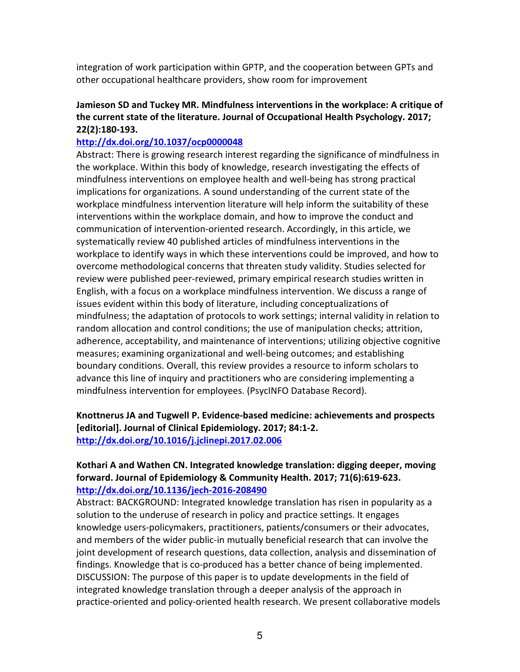integration of work participation within GPTP, and the cooperation between GPTs and other occupational healthcare providers, show room for improvement

# **Jamieson SD and Tuckey MR. Mindfulness interventions in the workplace: A critique of the current state of the literature. Journal of Occupational Health Psychology. 2017; 22(2):180-193.**

### **http://dx.doi.org/10.1037/ocp0000048**

Abstract: There is growing research interest regarding the significance of mindfulness in the workplace. Within this body of knowledge, research investigating the effects of mindfulness interventions on employee health and well-being has strong practical implications for organizations. A sound understanding of the current state of the workplace mindfulness intervention literature will help inform the suitability of these interventions within the workplace domain, and how to improve the conduct and communication of intervention-oriented research. Accordingly, in this article, we systematically review 40 published articles of mindfulness interventions in the workplace to identify ways in which these interventions could be improved, and how to overcome methodological concerns that threaten study validity. Studies selected for review were published peer-reviewed, primary empirical research studies written in English, with a focus on a workplace mindfulness intervention. We discuss a range of issues evident within this body of literature, including conceptualizations of mindfulness; the adaptation of protocols to work settings; internal validity in relation to random allocation and control conditions; the use of manipulation checks; attrition, adherence, acceptability, and maintenance of interventions; utilizing objective cognitive measures; examining organizational and well-being outcomes; and establishing boundary conditions. Overall, this review provides a resource to inform scholars to advance this line of inquiry and practitioners who are considering implementing a mindfulness intervention for employees. (PsycINFO Database Record).

# **Knottnerus JA and Tugwell P. Evidence-based medicine: achievements and prospects [editorial]. Journal of Clinical Epidemiology. 2017; 84:1-2. http://dx.doi.org/10.1016/j.jclinepi.2017.02.006**

## **Kothari A and Wathen CN. Integrated knowledge translation: digging deeper, moving forward. Journal of Epidemiology & Community Health. 2017; 71(6):619-623. http://dx.doi.org/10.1136/jech-2016-208490**

Abstract: BACKGROUND: Integrated knowledge translation has risen in popularity as a solution to the underuse of research in policy and practice settings. It engages knowledge users-policymakers, practitioners, patients/consumers or their advocates, and members of the wider public-in mutually beneficial research that can involve the joint development of research questions, data collection, analysis and dissemination of findings. Knowledge that is co-produced has a better chance of being implemented. DISCUSSION: The purpose of this paper is to update developments in the field of integrated knowledge translation through a deeper analysis of the approach in practice-oriented and policy-oriented health research. We present collaborative models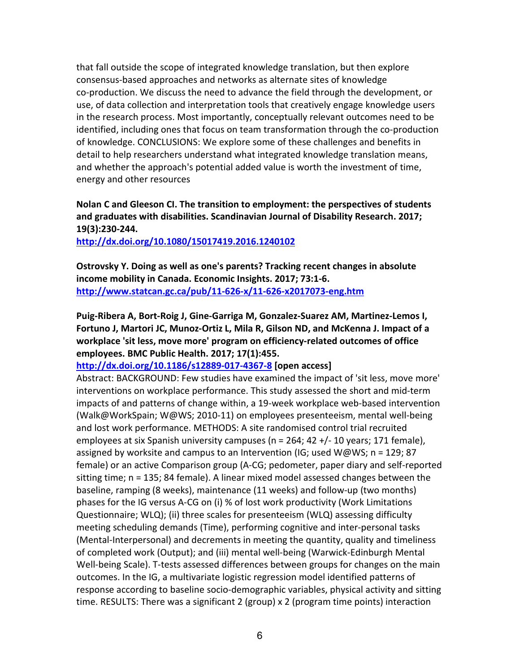that fall outside the scope of integrated knowledge translation, but then explore consensus-based approaches and networks as alternate sites of knowledge co-production. We discuss the need to advance the field through the development, or use, of data collection and interpretation tools that creatively engage knowledge users in the research process. Most importantly, conceptually relevant outcomes need to be identified, including ones that focus on team transformation through the co-production of knowledge. CONCLUSIONS: We explore some of these challenges and benefits in detail to help researchers understand what integrated knowledge translation means, and whether the approach's potential added value is worth the investment of time, energy and other resources

**Nolan C and Gleeson CI. The transition to employment: the perspectives of students and graduates with disabilities. Scandinavian Journal of Disability Research. 2017; 19(3):230-244.** 

**http://dx.doi.org/10.1080/15017419.2016.1240102**

**Ostrovsky Y. Doing as well as one's parents? Tracking recent changes in absolute income mobility in Canada. Economic Insights. 2017; 73:1-6. http://www.statcan.gc.ca/pub/11-626-x/11-626-x2017073-eng.htm**

**Puig-Ribera A, Bort-Roig J, Gine-Garriga M, Gonzalez-Suarez AM, Martinez-Lemos I, Fortuno J, Martori JC, Munoz-Ortiz L, Mila R, Gilson ND, and McKenna J. Impact of a workplace 'sit less, move more' program on efficiency-related outcomes of office employees. BMC Public Health. 2017; 17(1):455.** 

**http://dx.doi.org/10.1186/s12889-017-4367-8 [open access]**

Abstract: BACKGROUND: Few studies have examined the impact of 'sit less, move more' interventions on workplace performance. This study assessed the short and mid-term impacts of and patterns of change within, a 19-week workplace web-based intervention (Walk@WorkSpain; W@WS; 2010-11) on employees presenteeism, mental well-being and lost work performance. METHODS: A site randomised control trial recruited employees at six Spanish university campuses (n = 264; 42 +/- 10 years; 171 female), assigned by worksite and campus to an Intervention (IG; used W@WS;  $n = 129$ ; 87 female) or an active Comparison group (A-CG; pedometer, paper diary and self-reported sitting time; n = 135; 84 female). A linear mixed model assessed changes between the baseline, ramping (8 weeks), maintenance (11 weeks) and follow-up (two months) phases for the IG versus A-CG on (i) % of lost work productivity (Work Limitations Questionnaire; WLQ); (ii) three scales for presenteeism (WLQ) assessing difficulty meeting scheduling demands (Time), performing cognitive and inter-personal tasks (Mental-Interpersonal) and decrements in meeting the quantity, quality and timeliness of completed work (Output); and (iii) mental well-being (Warwick-Edinburgh Mental Well-being Scale). T-tests assessed differences between groups for changes on the main outcomes. In the IG, a multivariate logistic regression model identified patterns of response according to baseline socio-demographic variables, physical activity and sitting time. RESULTS: There was a significant 2 (group) x 2 (program time points) interaction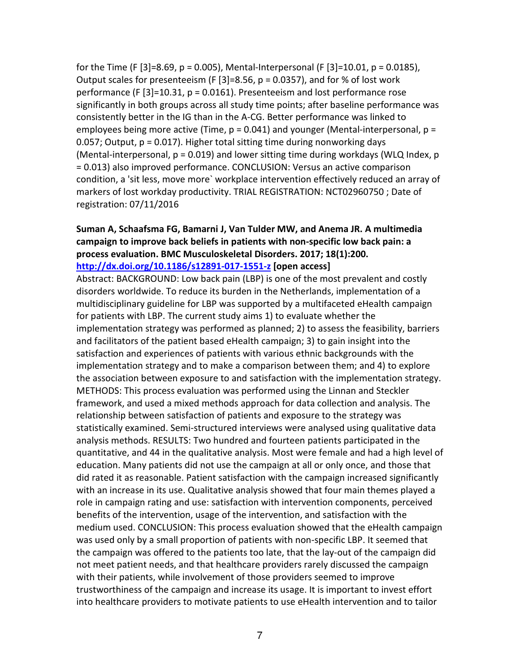for the Time (F [3]=8.69, p = 0.005), Mental-Interpersonal (F [3]=10.01, p = 0.0185), Output scales for presenteeism (F  $[3]$ =8.56, p = 0.0357), and for % of lost work performance (F [3]=10.31, p = 0.0161). Presenteeism and lost performance rose significantly in both groups across all study time points; after baseline performance was consistently better in the IG than in the A-CG. Better performance was linked to employees being more active (Time,  $p = 0.041$ ) and younger (Mental-interpersonal,  $p =$ 0.057; Output, p = 0.017). Higher total sitting time during nonworking days (Mental-interpersonal,  $p = 0.019$ ) and lower sitting time during workdays (WLQ Index,  $p$ ) = 0.013) also improved performance. CONCLUSION: Versus an active comparison condition, a 'sit less, move more` workplace intervention effectively reduced an array of markers of lost workday productivity. TRIAL REGISTRATION: NCT02960750 ; Date of registration: 07/11/2016

### **Suman A, Schaafsma FG, Bamarni J, Van Tulder MW, and Anema JR. A multimedia campaign to improve back beliefs in patients with non-specific low back pain: a process evaluation. BMC Musculoskeletal Disorders. 2017; 18(1):200. http://dx.doi.org/10.1186/s12891-017-1551-z [open access]**

Abstract: BACKGROUND: Low back pain (LBP) is one of the most prevalent and costly disorders worldwide. To reduce its burden in the Netherlands, implementation of a multidisciplinary guideline for LBP was supported by a multifaceted eHealth campaign for patients with LBP. The current study aims 1) to evaluate whether the implementation strategy was performed as planned; 2) to assess the feasibility, barriers and facilitators of the patient based eHealth campaign; 3) to gain insight into the satisfaction and experiences of patients with various ethnic backgrounds with the implementation strategy and to make a comparison between them; and 4) to explore the association between exposure to and satisfaction with the implementation strategy. METHODS: This process evaluation was performed using the Linnan and Steckler framework, and used a mixed methods approach for data collection and analysis. The relationship between satisfaction of patients and exposure to the strategy was statistically examined. Semi-structured interviews were analysed using qualitative data analysis methods. RESULTS: Two hundred and fourteen patients participated in the quantitative, and 44 in the qualitative analysis. Most were female and had a high level of education. Many patients did not use the campaign at all or only once, and those that did rated it as reasonable. Patient satisfaction with the campaign increased significantly with an increase in its use. Qualitative analysis showed that four main themes played a role in campaign rating and use: satisfaction with intervention components, perceived benefits of the intervention, usage of the intervention, and satisfaction with the medium used. CONCLUSION: This process evaluation showed that the eHealth campaign was used only by a small proportion of patients with non-specific LBP. It seemed that the campaign was offered to the patients too late, that the lay-out of the campaign did not meet patient needs, and that healthcare providers rarely discussed the campaign with their patients, while involvement of those providers seemed to improve trustworthiness of the campaign and increase its usage. It is important to invest effort into healthcare providers to motivate patients to use eHealth intervention and to tailor